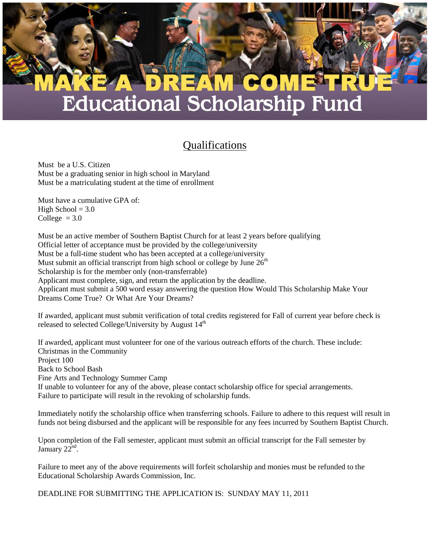## **CO**  $\lfloor N_{\ell} \rfloor$ **Educational Scholarship Fund**

## Qualifications

Must be a U.S. Citizen Must be a graduating senior in high school in Maryland Must be a matriculating student at the time of enrollment

Must have a cumulative GPA of: High School  $= 3.0$ College  $= 3.0$ 

Must be an active member of Southern Baptist Church for at least 2 years before qualifying Official letter of acceptance must be provided by the college/university Must be a full-time student who has been accepted at a college/university Must submit an official transcript from high school or college by June  $26<sup>th</sup>$ Scholarship is for the member only (non-transferrable) Applicant must complete, sign, and return the application by the deadline. Applicant must submit a 500 word essay answering the question How Would This Scholarship Make Your Dreams Come True? Or What Are Your Dreams?

If awarded, applicant must submit verification of total credits registered for Fall of current year before check is released to selected College/University by August 14<sup>th</sup>

If awarded, applicant must volunteer for one of the various outreach efforts of the church. These include: Christmas in the Community Project 100 Back to School Bash Fine Arts and Technology Summer Camp If unable to volunteer for any of the above, please contact scholarship office for special arrangements. Failure to participate will result in the revoking of scholarship funds.

Immediately notify the scholarship office when transferring schools. Failure to adhere to this request will result in funds not being disbursed and the applicant will be responsible for any fees incurred by Southern Baptist Church.

Upon completion of the Fall semester, applicant must submit an official transcript for the Fall semester by January  $22^{\text{nd}}$ .

Failure to meet any of the above requirements will forfeit scholarship and monies must be refunded to the Educational Scholarship Awards Commission, Inc.

DEADLINE FOR SUBMITTING THE APPLICATION IS: SUNDAY MAY 11, 2011